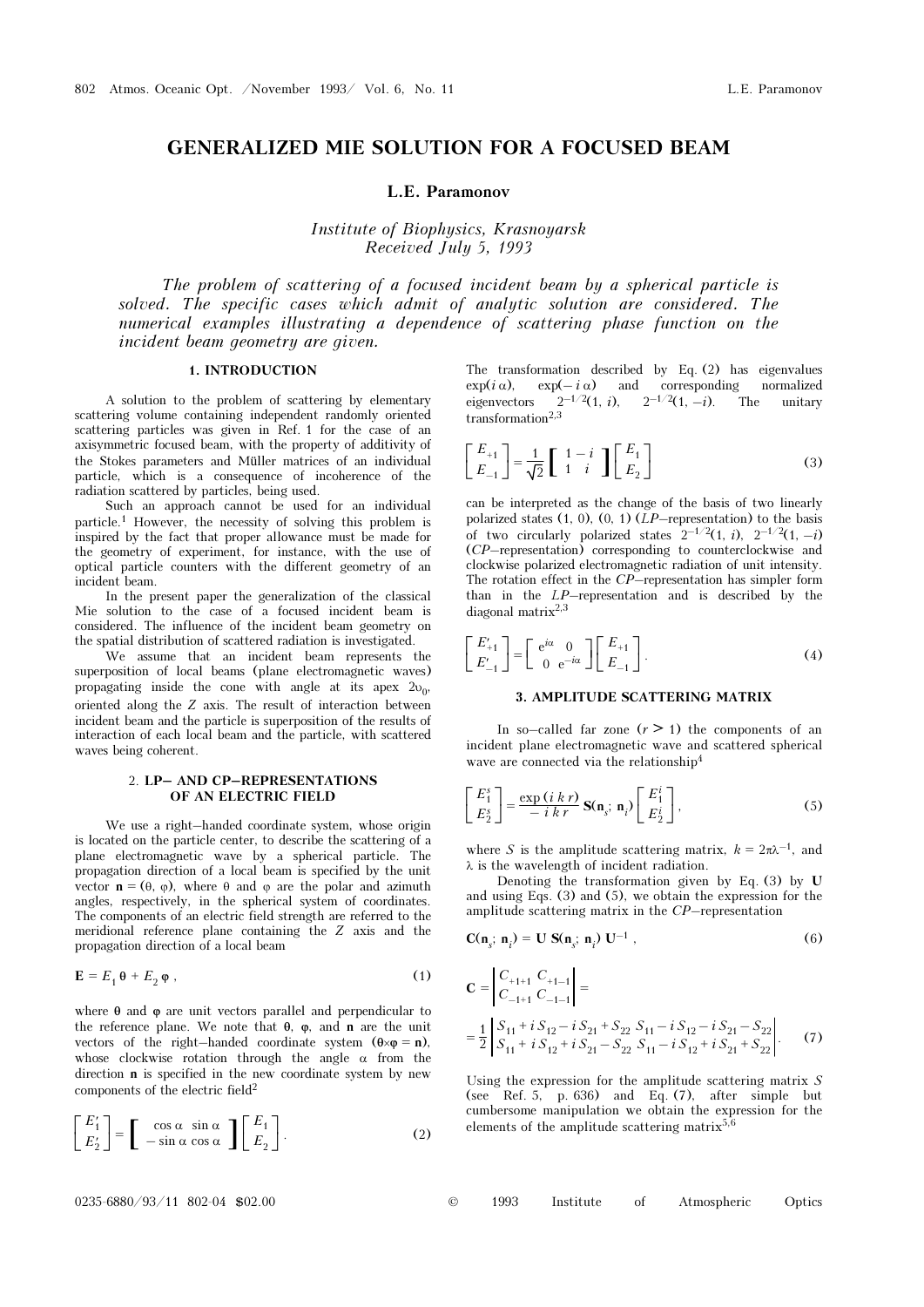# GENERALIZED MIE SOLUTION FOR A FOCUSED BEAM

L.E. Paramonov

Institute of Biophysics, Krasnoyarsk Received July 5, 1993

The problem of scattering of a focused incident beam by a spherical particle is solved. The specific cases which admit of analytic solution are considered. The numerical examples illustrating a dependence of scattering phase function on the incident beam geometry are given.

## 1. INTRODUCTION

A solution to the problem of scattering by elementary scattering volume containing independent randomly oriented scattering particles was given in Ref. 1 for the case of an axisymmetric focused beam, with the property of additivity of the Stokes parameters and Müller matrices of an individual particle, which is a consequence of incoherence of the radiation scattered by particles, being used.

Such an approach cannot be used for an individual particle.1 However, the necessity of solving this problem is inspired by the fact that proper allowance must be made for the geometry of experiment, for instance, with the use of optical particle counters with the different geometry of an incident beam.

In the present paper the generalization of the classical Mie solution to the case of a focused incident beam is considered. The influence of the incident beam geometry on the spatial distribution of scattered radiation is investigated.

We assume that an incident beam represents the superposition of local beams (plane electromagnetic waves) propagating inside the cone with angle at its apex  $2v_0$ , oriented along the Z axis. The result of interaction between incident beam and the particle is superposition of the results of interaction of each local beam and the particle, with scattered waves being coherent.

#### 2. LP– AND CP–REPRESENTATIONS OF AN ELECTRIC FIELD

We use a right–handed coordinate system, whose origin is located on the particle center, to describe the scattering of a plane electromagnetic wave by a spherical particle. The propagation direction of a local beam is specified by the unit vector  $\mathbf{n} = (\theta, \varphi)$ , where  $\theta$  and  $\varphi$  are the polar and azimuth angles, respectively, in the spherical system of coordinates. The components of an electric field strength are referred to the meridional reference plane containing the Z axis and the propagation direction of a local beam

$$
\mathbf{E} = E_1 \mathbf{\theta} + E_2 \mathbf{\phi} \tag{1}
$$

where  $\theta$  and  $\phi$  are unit vectors parallel and perpendicular to the reference plane. We note that  $\theta$ ,  $\varphi$ , and **n** are the unit vectors of the right–handed coordinate system  $(\theta \times \varphi = n)$ , whose clockwise rotation through the angle  $\alpha$  from the direction n is specified in the new coordinate system by new components of the electric field<sup>2</sup>

$$
\begin{bmatrix} E_1' \\ E_2' \end{bmatrix} = \begin{bmatrix} \cos \alpha & \sin \alpha \\ -\sin \alpha & \cos \alpha \end{bmatrix} \begin{bmatrix} E_1 \\ E_2 \end{bmatrix}.
$$
 (2)

The transformation described by Eq. (2) has eigenvalues  $\exp(i \alpha)$ ,  $\exp(-i \alpha)$  and corresponding normalized eigenvectors  $2^{-1/2}(1, i)$ ,  $2^{-1/2}(1, -i)$ . The unitary  $transformation<sup>2,3</sup>$ 

$$
\begin{bmatrix} E_{+1} \\ E_{-1} \end{bmatrix} = \frac{1}{\sqrt{2}} \begin{bmatrix} 1-i \\ 1-i \end{bmatrix} \begin{bmatrix} E_1 \\ E_2 \end{bmatrix}
$$
 (3)

can be interpreted as the change of the basis of two linearly polarized states  $(1, 0)$ ,  $(0, 1)$   $(LP$ –representation) to the basis of two circularly polarized states  $2^{-1/2}(1, i)$ ,  $2^{-1/2}(1, -i)$ (CP–representation) corresponding to counterclockwise and clockwise polarized electromagnetic radiation of unit intensity. The rotation effect in the  $CP$ –representation has simpler form than in the LP–representation and is described by the diagonal matrix<sup>2,3</sup>

$$
\begin{bmatrix} E'_{+1} \\ E'_{-1} \end{bmatrix} = \begin{bmatrix} e^{i\alpha} & 0 \\ 0 & e^{-i\alpha} \end{bmatrix} \begin{bmatrix} E_{+1} \\ E_{-1} \end{bmatrix}.
$$
 (4)

## 3. AMPLITUDE SCATTERING MATRIX

In so–called far zone  $(r > 1)$  the components of an incident plane electromagnetic wave and scattered spherical wave are connected via the relationship<sup>4</sup>

$$
\begin{bmatrix} E_1^s \\ E_2^s \end{bmatrix} = \frac{\exp(ikr)}{-ikr} \mathbf{S}(\mathbf{n}_s; \mathbf{n}_i) \begin{bmatrix} E_1^i \\ E_2^i \end{bmatrix},
$$
 (5)

where S is the amplitude scattering matrix,  $k = 2\pi\lambda^{-1}$ , and λ is the wavelength of incident radiation.

Denoting the transformation given by Eq. (3) by U and using Eqs. (3) and (5), we obtain the expression for the amplitude scattering matrix in the CP–representation

$$
\mathbf{C}(\mathbf{n}_s; \mathbf{n}_i) = \mathbf{U} \mathbf{S}(\mathbf{n}_s; \mathbf{n}_i) \mathbf{U}^{-1} , \qquad (6)
$$

$$
\mathbf{C} = \begin{vmatrix} C_{+1+1} & C_{+1-1} \\ C_{-1+1} & C_{-1-1} \end{vmatrix} =
$$
  
=  $\frac{1}{2} \begin{vmatrix} S_{11} + i S_{12} - i S_{21} + S_{22} S_{11} - i S_{12} - i S_{21} - S_{22} \\ S_{11} + i S_{12} + i S_{21} - S_{22} S_{11} - i S_{12} + i S_{21} + S_{22} \end{vmatrix}$ . (7)

Using the expression for the amplitude scattering matrix  $S$ (see Ref. 5, p. 636) and Eq.  $(7)$ , after simple but cumbersome manipulation we obtain the expression for the elements of the amplitude scattering matrix $5,6$ 

| Institute of Atmospheric Optics | $0235 - 6880 / 93 / 11$ 802-04 \$02.00 |  | 1993 |  |  |  |  |
|---------------------------------|----------------------------------------|--|------|--|--|--|--|
|---------------------------------|----------------------------------------|--|------|--|--|--|--|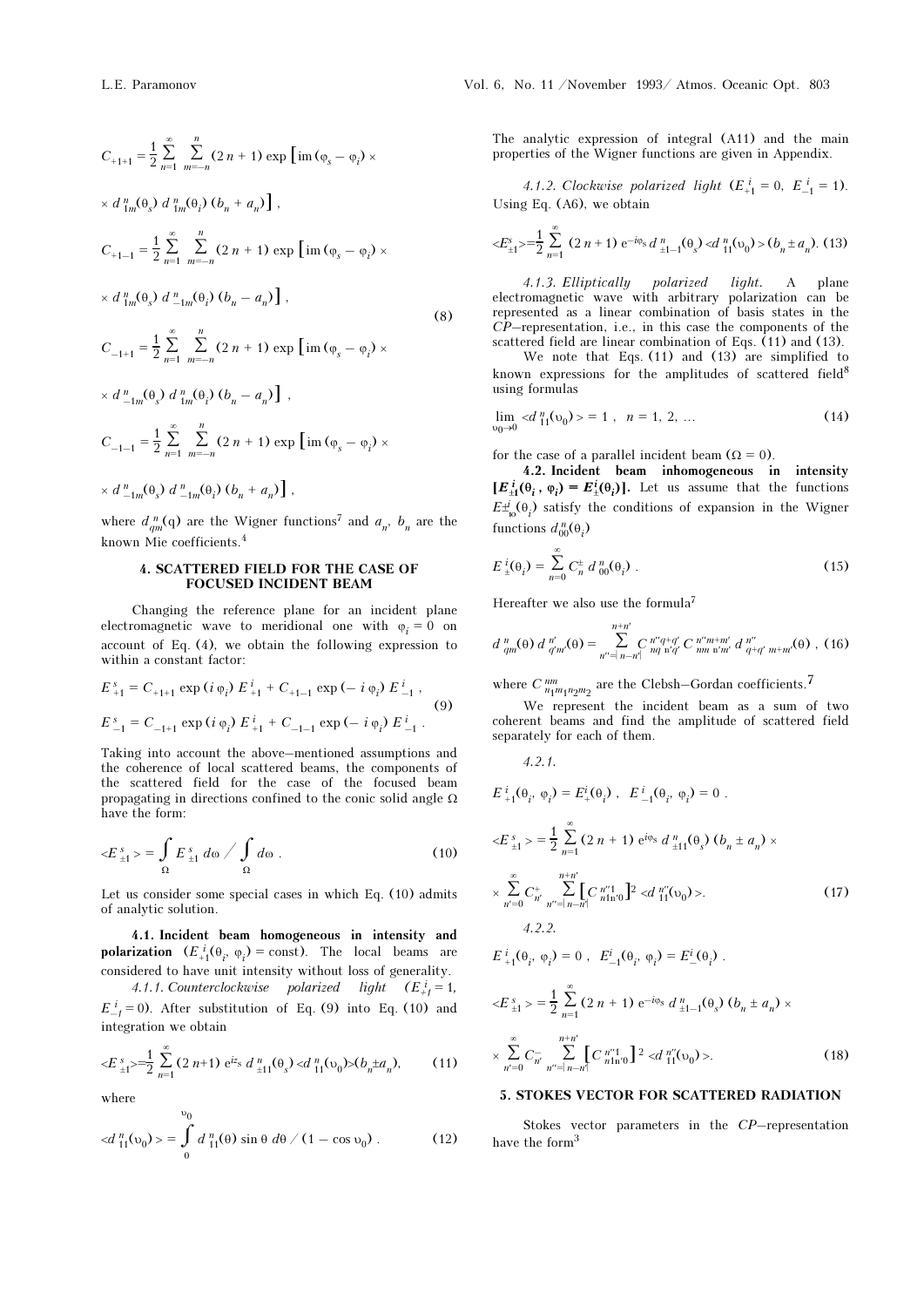$$
C_{+1+1} = \frac{1}{2} \sum_{n=1}^{\infty} \sum_{m=-n}^{n} (2 n + 1) \exp \left[ im (\varphi_{s} - \varphi_{i}) \times
$$
  
\n
$$
\times d_{1m}^{n}(\theta_{s}) d_{1m}^{n}(\theta_{i}) (\theta_{n} + a_{n}) \right],
$$
  
\n
$$
C_{+1-1} = \frac{1}{2} \sum_{n=1}^{\infty} \sum_{m=-n}^{n} (2 n + 1) \exp \left[ im (\varphi_{s} - \varphi_{i}) \times
$$
  
\n
$$
\times d_{1m}^{n}(\theta_{s}) d_{-1m}^{n}(\theta_{i}) (\theta_{n} - a_{n}) \right],
$$
  
\n
$$
C_{-1+1} = \frac{1}{2} \sum_{n=1}^{\infty} \sum_{m=-n}^{n} (2 n + 1) \exp \left[ im (\varphi_{s} - \varphi_{i}) \times
$$
  
\n
$$
\times d_{-1m}^{n}(\theta_{s}) d_{1m}^{n}(\theta_{i}) (\theta_{n} - a_{n}) \right],
$$
  
\n
$$
C_{-1-1} = \frac{1}{2} \sum_{n=1}^{\infty} \sum_{m=-n}^{n} (2 n + 1) \exp \left[ im (\varphi_{s} - \varphi_{i}) \times
$$
  
\n
$$
\times d_{-1m}^{n}(\theta_{s}) d_{-1m}^{n}(\theta_{i}) (\theta_{n} + a_{n}) \right],
$$
  
\n
$$
\times d_{-1m}^{n}(\theta_{s}) d_{-1m}^{n}(\theta_{i}) (\theta_{n} + a_{n}) ,
$$

where  $d_{qm}^n(q)$  are the Wigner functions<sup>7</sup> and  $a_n$ ,  $b_n$  are the known Mie coefficients.<sup>4</sup>

## 4. SCATTERED FIELD FOR THE CASE OF FOCUSED INCIDENT BEAM

Changing the reference plane for an incident plane electromagnetic wave to meridional one with  $\varphi_i = 0$  on account of Eq. (4), we obtain the following expression to within a constant factor:

$$
E_{+1}^{s} = C_{+1+1} \exp(i \varphi_i) E_{+1}^{i} + C_{+1-1} \exp(-i \varphi_i) E_{-1}^{i},
$$
  
(9)  

$$
E_{-1}^{s} = C_{-1+1} \exp(i \varphi_i) E_{+1}^{i} + C_{-1-1} \exp(-i \varphi_i) E_{-1}^{i}.
$$

Taking into account the above–mentioned assumptions and the coherence of local scattered beams, the components of the scattered field for the case of the focused beam propagating in directions confined to the conic solid angle Ω have the form:

$$
\langle E_{\pm 1}^s \rangle = \int_{\Omega} E_{\pm 1}^s \, d\omega \bigg/ \int_{\Omega} d\omega \, . \tag{10}
$$

Let us consider some special cases in which Eq. (10) admits of analytic solution.

4.1. Incident beam homogeneous in intensity and **polarization**  $(E_+^i(\theta_i, \varphi_i) = \text{const}).$  The local beams are considered to have unit intensity without loss of generality.

4.1.1. Counterclockwise polarized light  $(E_{+1}^i = 1,$  $E_{-1}^{i} = 0$ ). After substitution of Eq. (9) into Eq. (10) and integration we obtain

$$
\langle E_{\pm 1}^s \rangle = \frac{1}{2} \sum_{n=1}^{\infty} (2 n+1) e^{iz} d_{\pm 11}^n(\theta_s) \langle d_{11}^n(\nu_0) \rangle (b_n \pm a_n), \tag{11}
$$

where

$$
\langle d_{11}^n(\upsilon_0) \rangle = \int_0^{\upsilon_0} d_{11}^n(\theta) \sin \theta \, d\theta / (1 - \cos \upsilon_0) \,. \tag{12}
$$

The analytic expression of integral (A11) and the main properties of the Wigner functions are given in Appendix.

4.1.2. Clockwise polarized light  $(E_{+1}^i = 0, E_{-1}^i = 1)$ . Using Eq. (A6), we obtain

$$
\langle E_{\pm 1}^s \rangle = \frac{1}{2} \sum_{n=1}^{\infty} (2n+1) e^{-i\varphi_s} d_{\pm 1-1}^n(\theta_s) \langle d_{11}^n(\upsilon_0) \rangle (b_n \pm a_n). \tag{13}
$$

4.1.3. Elliptically polarized light. A plane electromagnetic wave with arbitrary polarization can be represented as a linear combination of basis states in the CP–representation, i.e., in this case the components of the scattered field are linear combination of Eqs. (11) and (13).

We note that Eqs. (11) and (13) are simplified to known expressions for the amplitudes of scattered field<sup>8</sup> using formulas

$$
\lim_{v_0 \to 0} \langle d_{11}^n(v_0) \rangle = 1, \quad n = 1, 2, \dots \tag{14}
$$

for the case of a parallel incident beam ( $\Omega = 0$ ).

4.2. Incident beam inhomogeneous in intensity  $[E_{\pm 1}^i(\theta_i, \varphi_i) = E_{\pm}^i(\theta_i)].$  Let us assume that the functions  $E \dot{=}$ <sub>io</sub> $\Theta_i$ ) satisfy the conditions of expansion in the Wigner functions  $d_{00}^n(\theta_i)$ 

$$
E_{\pm}^{i}(\theta_{i}) = \sum_{n=0}^{\infty} C_{n}^{\pm} d_{00}^{n}(\theta_{i}) .
$$
 (15)

Hereafter we also use the formula<sup>7</sup>

$$
d_{qm}^{n}(\theta) d_{q'm'}^{n'}(\theta) = \sum_{n''=|n-n'|}^{n+n'} C_{nq'n'q'}^{n''q+q'} C_{nm'n'm'}^{n''m+m'} d_{q+q'm+m'}^{n''}(\theta) , (16)
$$

where  $C\frac{nm}{n_1m_1n_2m_2}$  are the Clebsh–Gordan coefficients.<sup>7</sup>

We represent the incident beam as a sum of two coherent beams and find the amplitude of scattered field separately for each of them.

4.2.1.

$$
E_{+1}^{i}(\theta_{i}, \varphi_{i}) = E_{+}^{i}(\theta_{i}), \quad E_{-1}^{i}(\theta_{i}, \varphi_{i}) = 0.
$$
  

$$
\langle E_{+1}^{s}\rangle = \frac{1}{2} \sum_{n=1}^{\infty} (2 n + 1) e^{i\varphi_{s}} d_{+1}^{n}(\theta_{s}) (b_{n} \pm a_{n}) \times
$$
  

$$
\times \sum_{n'=0}^{\infty} C_{n}^{+} \sum_{n''=|n-n'|}^{n+n'} [C_{n+1}^{n'1}(\theta_{i})^{2} < d_{-1}^{n''}(\theta_{0}) >.
$$
  

$$
4.2.2.
$$
  

$$
E_{+1}^{i}(\theta_{i}, \varphi_{i}) = 0, \quad E_{-1}^{i}(\theta_{i}, \varphi_{i}) = E_{-}^{i}(\theta_{i}).
$$
 (17)

$$
\langle E_{\pm 1}^s \rangle = \frac{1}{2} \sum_{n=1}^{\infty} (2 n + 1) e^{-i\varphi_s} d_{\pm 1-1}^n(\theta_s) (b_n \pm a_n) \times
$$
  

$$
\times \sum_{n'=0}^{\infty} C_{n'}^{-} \sum_{n''=|n-n'|}^{n+n'} C_{n \ln 0}^{n''} \Big]^{2} \langle d_{11}^{n''}(v_0) \rangle.
$$
 (18)

# 5. STOKES VECTOR FOR SCATTERED RADIATION

Stokes vector parameters in the CP–representation have the form<sup>3</sup>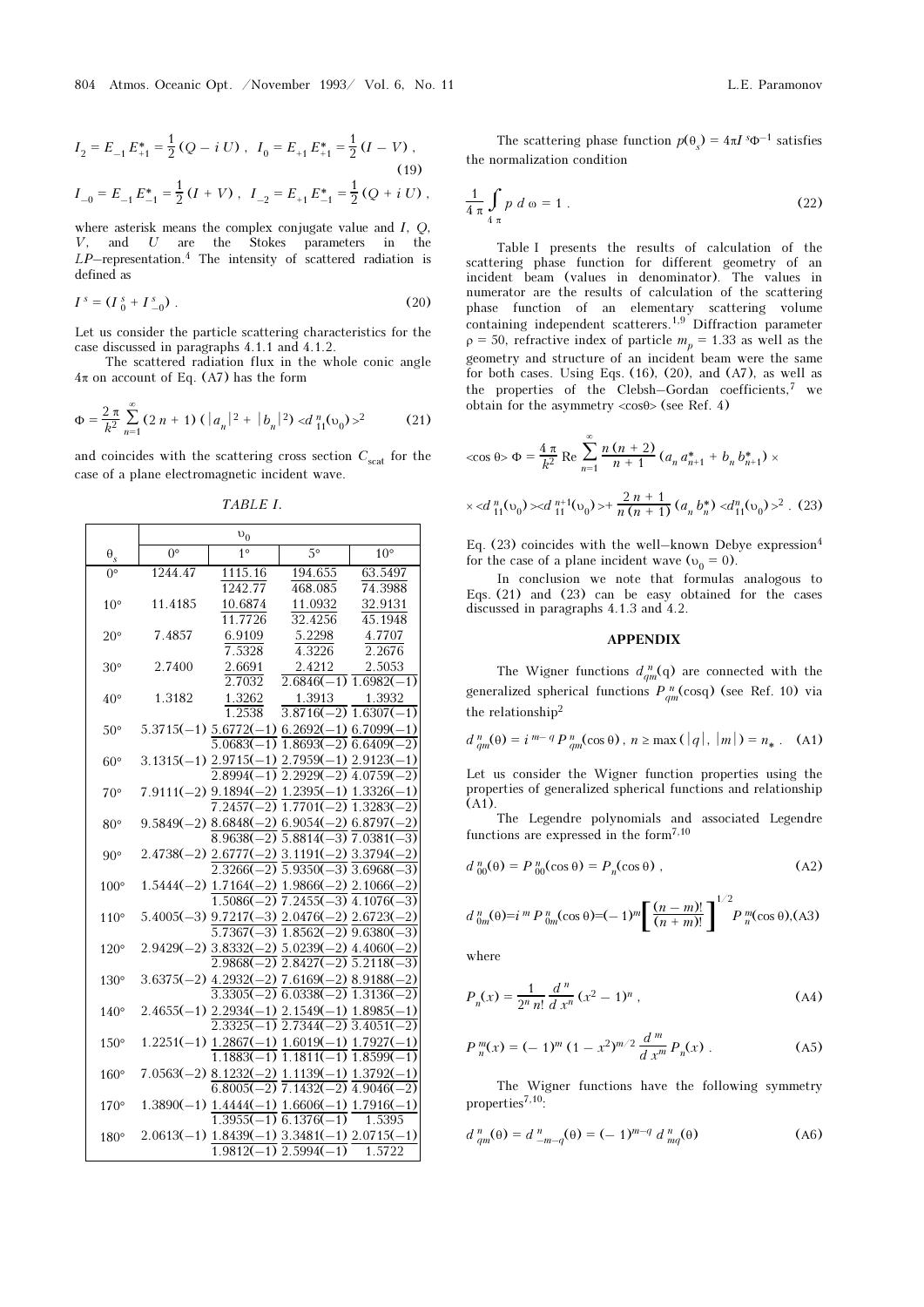$$
I_2 = E_{-1} E_{+1}^* = \frac{1}{2} (Q - i U), \quad I_0 = E_{+1} E_{+1}^* = \frac{1}{2} (I - V),
$$
\n(19)\n
$$
I_{-0} = E_{-1} E_{-1}^* = \frac{1}{2} (I + V), \quad I_{-2} = E_{+1} E_{-1}^* = \frac{1}{2} (Q + i U),
$$

where asterisk means the complex conjugate value and I, Q, V, and U are the Stokes parameters in the  $LP$ –representation.<sup>4</sup> The intensity of scattered radiation is defined as

$$
I^{s} = (I^{s}_{0} + I^{s}_{-0}). \tag{20}
$$

Let us consider the particle scattering characteristics for the case discussed in paragraphs 4.1.1 and 4.1.2.

The scattered radiation flux in the whole conic angle  $4\pi$  on account of Eq. (A7) has the form

$$
\Phi = \frac{2\pi}{k^2} \sum_{n=1}^{\infty} (2\,n+1) \left( |a_n|^2 + |b_n|^2 \right) < d_{11}^n(v_0) >^2 \tag{21}
$$

and coincides with the scattering cross section  $C_{scat}$  for the case of a plane electromagnetic incident wave.

 $v_0$  $\Theta_s$  0° 1° 5° 10° 0° 1244.47 1115.16 1242.77 194.655 468.085 63.5497 74.3988 10° 11.4185 10.6874 11.7726 11.0932 32.4256 32.9131 45.1948 20° 7.4857 6.9109 7.5328 5.2298 4.3226 4.7707 2.2676 30° 2.7400 2.6691 2.7032 2.4212 2.6846(–1) 1.6982(–1) 2.5053 40° 1.3182 1.3262 1.2538 1.3913 3.8716(–2) 1.6307(–1) 1.3932  $50^{\circ}$   $5.3715(-1)$   $5.6772(-1)$   $6.2692(-1)$   $6.7099(-1)$ 5.0683(–1) 1.8693(–2) 6.6409(–2)  $60^{\circ}$  3.1315(-1)  $\frac{2.9715(-1)}{2.7959(-1)}$   $\frac{2.9123(-1)}{2.9123(-1)}$ 2.8994(–1) 2.2929(–2) 4.0759(–2) 70° 7.9111(–2) 9.1894(–2) 1.2395(–1) 1.3326(–1) 7.2457(–2) 1.7701(–2) 1.3283(–2)  $80^{\circ}$   $9.5849(-2)$   $8.6848(-2)$   $6.9054(-2)$   $6.8797(-2)$ 8.9638(–2) 5.8814(–3) 7.0381(–3) 90°  $2.4738(-2)$   $2.6777(-2)$   $3.1191(-2)$   $3.3794(-2)$ 2.3266(–2) 5.9350(–3) 3.6968(–3)  $100^{\circ}$   $1.5444(-2)$   $1.7164(-2)$   $1.9866(-2)$   $2.1066(-2)$ 1.5086(–2) 7.2455(–3) 4.1076(–3)  $110^{\circ}$  5.4005(-3)  $\frac{9.7217(-3)}{2.0476(-2)}$   $\frac{2.6723(-2)}{2.6723(-2)}$ 5.7367(–3) 1.8562(–2) 9.6380(–3)  $120^{\circ}$   $2.9429(-2)$   $3.8332(-2)$   $5.0239(-2)$   $4.4060(-2)$ 2.9868(–2) 2.8427(–2) 5.2118(–3)  $130^{\circ}$   $3.6375(-2)$   $4.2932(-2)$   $7.6169(-2)$   $8.9188(-2)$ 3.3305(–2) 6.0338(–2) 1.3136(–2)  $140^{\circ}$  2.4655(-1)  $2.2934(-1)$   $2.1549(-1)$   $1.8985(-1)$ 2.3325(–1) 2.7344(–2) 3.4051(–2)  $150^{\circ}$   $1.2251(-1)$   $1.2867(-1)$   $1.6019(-1)$   $1.7927(-1)$  $1.1883(-1)$   $1.1811(-1)$   $1.8599(-1)$  $160^{\circ}$   $7.0563(-2)$   $8.1232(-2)$   $1.1139(-1)$   $1.3792(-1)$ 6.8005(–2) 7.1432(–2) 4.9046(–2)  $170^{\circ}$   $1.3890(-1)$   $1.4444(-1)$   $1.6606(-1)$   $1.7916(-1)$ 1.3955(–1) 6.1376(–1) 1.5395  $180^{\circ}$   $2.0613(-1)$   $\underline{1.8439(-1)}$   $\underline{3.3481(-1)}$   $\underline{2.0715(-1)}$  $1.9812(-1)$   $2.5994(-1)$ 1.5722

TABLE I.

$$
\frac{1}{4\pi} \int_{4\pi} p \, d\omega = 1 \tag{22}
$$

Table I presents the results of calculation of the scattering phase function for different geometry of an incident beam (values in denominator). The values in numerator are the results of calculation of the scattering phase function of an elementary scattering volume containing independent scatterers.1,9 Diffraction parameter  $\rho = 50$ , refractive index of particle  $m_p = 1.33$  as well as the geometry and structure of an incident beam were the same for both cases. Using Eqs. (16), (20), and (A7), as well as the properties of the Clebsh–Gordan coefficients, $7$  we obtain for the asymmetry  $\langle \cos \theta \rangle$  (see Ref. 4)

$$
\cos \theta > \Phi = \frac{4 \pi}{k^2} \operatorname{Re} \sum_{n=1}^{\infty} \frac{n(n+2)}{n+1} \left( a_n a_{n+1}^* + b_n b_{n+1}^* \right) \times
$$
  
 
$$
\times \langle d_{11}^n(\nu_0) \rangle \langle d_{11}^{n+1}(\nu_0) \rangle + \frac{2n+1}{n(n+1)} \left( a_n b_n^* \right) \langle d_{11}^n(\nu_0) \rangle^2 . \tag{23}
$$

Eq. (23) coincides with the well–known Debye expression<sup>4</sup> for the case of a plane incident wave ( $v_0 = 0$ ).

In conclusion we note that formulas analogous to Eqs. (21) and (23) can be easy obtained for the cases discussed in paragraphs 4.1.3 and 4.2.

#### APPENDIX

The Wigner functions  $d_{qm}^n(q)$  are connected with the generalized spherical functions  $P_{qm}^{\ n}(\text{cos}q)$  (see Ref. 10) via the relationship<sup>2</sup>

$$
d_{qm}^{n}(\theta) = i^{m-q} P_{qm}^{n}(\cos \theta), \ n \ge \max(|q|, |m|) = n_* \tag{A1}
$$

Let us consider the Wigner function properties using the properties of generalized spherical functions and relationship (A1).

The Legendre polynomials and associated Legendre functions are expressed in the form7,10

$$
d_{00}^{n}(\theta) = P_{00}^{n}(\cos \theta) = P_{n}(\cos \theta) , \qquad (A2)
$$

$$
d_{0m}^{n}(\theta) = i^{m} P_{0m}^{n}(\cos \theta) = (-1)^{m} \left[ \frac{(n-m)!}{(n+m)!} \right]^{1/2} P_{n}^{m}(\cos \theta), \text{(A3)}
$$

where

$$
P_n(x) = \frac{1}{2^n n!} \frac{d^n}{dx^n} (x^2 - 1)^n ,
$$
 (A4)

$$
P_n^m(x) = (-1)^m (1 - x^2)^{m/2} \frac{d^m}{dx^m} P_n(x) .
$$
 (A5)

The Wigner functions have the following symmetry properties $^{7,10}$ :

$$
d_{qm}^{n}(\theta) = d_{-m-q}^{n}(\theta) = (-1)^{m-q} d_{mq}^{n}(\theta)
$$
 (A6)